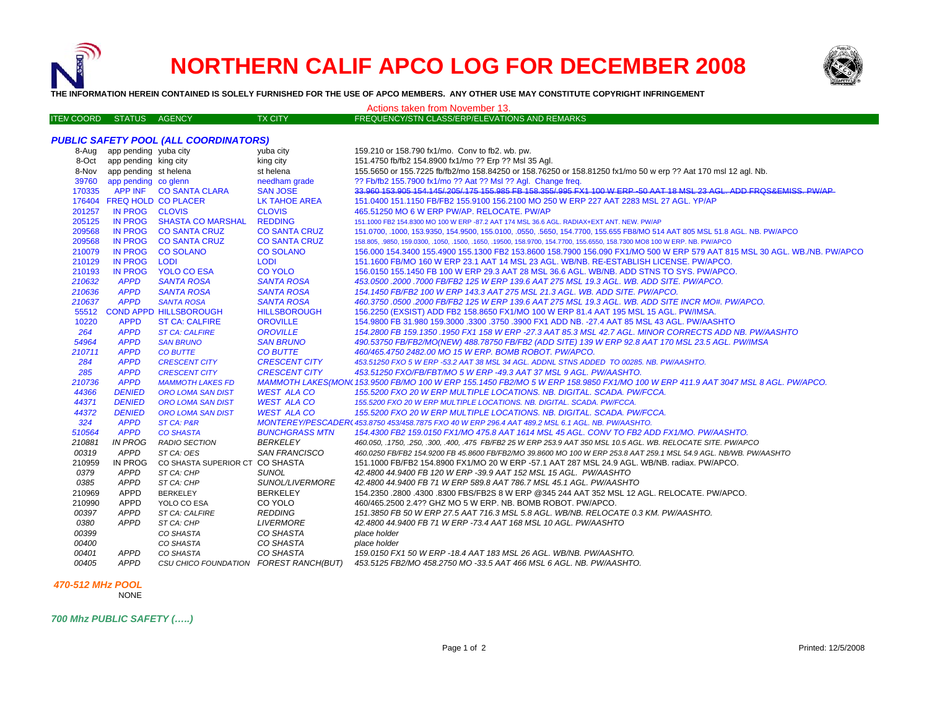

## **NORTHERN CALIF APCO LOG FOR DECEMBER 2008**

Actions taken from November 13.



**THE INFORMATION HEREIN CONTAINED IS SOLELY FURNISHED FOR THE USE OF APCO MEMBERS. ANY OTHER USE MAY CONSTITUTE COPYRIGHT INFRINGEMENT**

| <b>ITEN COORD STATUS AGENCY</b>              |                             |                                        | <b>TX CITY</b>        | FREQUENCY/STN CLASS/ERP/ELEVATIONS AND REMARKS                                                                                  |  |  |  |
|----------------------------------------------|-----------------------------|----------------------------------------|-----------------------|---------------------------------------------------------------------------------------------------------------------------------|--|--|--|
|                                              |                             |                                        |                       |                                                                                                                                 |  |  |  |
| <b>PUBLIC SAFETY POOL (ALL COORDINATORS)</b> |                             |                                        |                       |                                                                                                                                 |  |  |  |
|                                              | 8-Aug app pending yuba city |                                        | yuba city             | 159.210 or 158.790 fx1/mo. Conv to fb2. wb. pw.                                                                                 |  |  |  |
|                                              | 8-Oct app pending king city |                                        | king city             | 151.4750 fb/fb2 154.8900 fx1/mo ?? Erp ?? Msl 35 Agl.                                                                           |  |  |  |
|                                              | 8-Nov app pending st helena |                                        | st helena             | 155.5650 or 155.7225 fb/fb2/mo 158.84250 or 158.76250 or 158.81250 fx1/mo 50 w erp ?? Aat 170 msl 12 agl. Nb.                   |  |  |  |
|                                              | 39760 app pending co glenn  |                                        | needham grade         | ?? Fb/fb2 155.7900 fx1/mo ?? Aat ?? Msl ?? Agl. Change freq.                                                                    |  |  |  |
| 170335                                       |                             | APP INF CO SANTA CLARA                 | <b>SAN JOSE</b>       | 33 960 153 905 154 145/205/175 155 985 FB 158 355/995 FX1 100 W FRP-50 AAT 18 MSL 23 AGL ADD FROS&FMISS PW/AP                   |  |  |  |
|                                              | 176404 FREQ HOLD CO PLACER  |                                        | LK TAHOE AREA         | 151.0400 151.1150 FB/FB2 155.9100 156.2100 MO 250 W ERP 227 AAT 2283 MSL 27 AGL. YP/AP                                          |  |  |  |
| 201257                                       | IN PROG CLOVIS              |                                        | <b>CLOVIS</b>         | 465.51250 MO 6 W ERP PW/AP. RELOCATE. PW/AP                                                                                     |  |  |  |
| 205125                                       |                             | IN PROG SHASTA CO MARSHAL              | <b>REDDING</b>        | 151.1000 FB2 154.8300 MO 100 W ERP -87.2 AAT 174 MSL 36.6 AGL. RADIAX+EXT ANT. NEW. PW/AP                                       |  |  |  |
| 209568                                       |                             | IN PROG CO SANTA CRUZ                  | <b>CO SANTA CRUZ</b>  | 151.0700, .1000, 153.9350, 154.9500, 155.0100, .0550, .5650, 154.7700, 155.655 FB8/MO 514 AAT 805 MSL 51.8 AGL. NB. PW/APCO     |  |  |  |
| 209568                                       | <b>IN PROG</b>              | <b>CO SANTA CRUZ</b>                   | <b>CO SANTA CRUZ</b>  | 158.805, .9850, 159.0300, .1050, .1500, .1650, .19500, 158.9700, 154.7700, 155.6550, 158.7300 MO8 100 W ERP. NB. PW/APCO        |  |  |  |
| 210079                                       | IN PROG                     | <b>CO SOLANO</b>                       | <b>CO SOLANO</b>      | 156.000 154.3400 155.4900 155.1300 FB2 153.8600 158.7900 156.090 FX1/MO 500 W ERP 579 AAT 815 MSL 30 AGL. WB./NB. PW/APCO       |  |  |  |
| 210129                                       | <b>IN PROG</b>              | LODI                                   | <b>LODI</b>           | 151.1600 FB/MO 160 W ERP 23.1 AAT 14 MSL 23 AGL. WB/NB. RE-ESTABLISH LICENSE. PW/APCO.                                          |  |  |  |
| 210193                                       | <b>IN PROG</b>              | <b>YOLO CO ESA</b>                     | <b>CO YOLO</b>        | 156.0150 155.1450 FB 100 W ERP 29.3 AAT 28 MSL 36.6 AGL. WB/NB. ADD STNS TO SYS. PW/APCO.                                       |  |  |  |
| 210632                                       | <b>APPD</b>                 | <b>SANTA ROSA</b>                      | <b>SANTA ROSA</b>     | 453.0500 .2000 .7000 FB/FB2 125 W ERP 139.6 AAT 275 MSL 19.3 AGL, WB, ADD SITE, PW/APCO,                                        |  |  |  |
| 210636                                       | <b>APPD</b>                 | <b>SANTA ROSA</b>                      | <b>SANTA ROSA</b>     | 154.1450 FB/FB2 100 W ERP 143.3 AAT 275 MSL 21.3 AGL. WB. ADD SITE. PW/APCO.                                                    |  |  |  |
| 210637                                       | <b>APPD</b>                 | <b>SANTA ROSA</b>                      | <b>SANTA ROSA</b>     | 460.3750.0500.2000 FB/FB2 125 W ERP 139.6 AAT 275 MSL 19.3 AGL. WB. ADD SITE INCR MO#. PW/APCO.                                 |  |  |  |
|                                              |                             | 55512 COND APPD HILLSBOROUGH           | <b>HILLSBOROUGH</b>   | 156.2250 (EXSIST) ADD FB2 158.8650 FX1/MO 100 W ERP 81.4 AAT 195 MSL 15 AGL. PW/IMSA.                                           |  |  |  |
| 10220                                        | <b>APPD</b>                 | <b>ST CA: CALFIRE</b>                  | <b>OROVILLE</b>       | 154.9800 FB 31.980 159.3000 .3300 .3750 .3900 FX1 ADD NB. -27.4 AAT 85 MSL 43 AGL. PW/AASHTO                                    |  |  |  |
| 264                                          | <b>APPD</b>                 | <b>ST CA: CALFIRE</b>                  | <b>OROVILLE</b>       | 154.2800 FB 159.1350 .1950 FX1 158 W ERP -27.3 AAT 85.3 MSL 42.7 AGL. MINOR CORRECTS ADD NB. PW/AASHTO                          |  |  |  |
| 54964                                        | <b>APPD</b>                 | <b>SAN BRUNO</b>                       | <b>SAN BRUNO</b>      | 490.53750 FB/FB2/MO(NEW) 488.78750 FB/FB2 (ADD SITE) 139 W ERP 92.8 AAT 170 MSL 23.5 AGL. PW/IMSA                               |  |  |  |
| 210711                                       | <b>APPD</b>                 | <b>CO BUTTE</b>                        | <b>CO BUTTE</b>       | 460/465.4750 2482.00 MO 15 W ERP. BOMB ROBOT. PW/APCO.                                                                          |  |  |  |
| 284                                          | <b>APPD</b>                 | <b>CRESCENT CITY</b>                   | <b>CRESCENT CITY</b>  | 453.51250 FXO 5 W ERP -53.2 AAT 38 MSL 34 AGL. ADDNL STNS ADDED TO 00285, NB, PW/AASHTO.                                        |  |  |  |
| 285                                          | <b>APPD</b>                 | <b>CRESCENT CITY</b>                   | <b>CRESCENT CITY</b>  | 453.51250 FXO/FB/FBT/MO 5 W ERP -49.3 AAT 37 MSL 9 AGL. PW/AASHTO.                                                              |  |  |  |
| 210736                                       | <b>APPD</b>                 | <b>MAMMOTH LAKES FD</b>                |                       | MAMMOTH LAKES(MON(153.9500 FB/MO 100 W ERP 155.1450 FB2/MO 5 W ERP 158.9850 FX1/MO 100 W ERP 411.9 AAT 3047 MSL 8 AGL. PW/APCO. |  |  |  |
| 44366                                        | <b>DENIED</b>               | <b>ORO LOMA SAN DIST</b>               | <b>WEST ALA CO</b>    | 155.5200 FXO 20 W ERP MULTIPLE LOCATIONS. NB. DIGITAL. SCADA. PW/FCCA.                                                          |  |  |  |
| 44371                                        | <b>DENIED</b>               | <b>ORO LOMA SAN DIST</b>               | <b>WEST ALA CO</b>    | 155.5200 FXO 20 W ERP MULTIPLE LOCATIONS. NB. DIGITAL. SCADA. PW/FCCA.                                                          |  |  |  |
| 44372                                        | <b>DENIED</b>               | <b>ORO LOMA SAN DIST</b>               | <b>WEST ALA CO</b>    | 155.5200 FXO 20 W ERP MULTIPLE LOCATIONS. NB. DIGITAL. SCADA. PW/FCCA.                                                          |  |  |  |
| 324                                          | <b>APPD</b>                 | ST CA: P&R                             |                       | MONTEREY/PESCADER(453.8750 453/458.7875 FXO 40 W ERP 296.4 AAT 489.2 MSL 6.1 AGL. NB. PW/AASHTO.                                |  |  |  |
| 510564                                       | <b>APPD</b>                 | <b>CO SHASTA</b>                       | <b>BUNCHGRASS MTN</b> | 154.4300 FB2 159.0150 FX1/MO 475.8 AAT 1614 MSL 45 AGL. CONV TO FB2 ADD FX1/MO. PW/AASHTO.                                      |  |  |  |
| 210881                                       | <b>IN PROG</b>              | <b>RADIO SECTION</b>                   | <b>BERKELEY</b>       | 460.050, .1750, .250, .300, .400, .475 FB/FB2 25 W ERP 253.9 AAT 350 MSL 10.5 AGL. WB. RELOCATE SITE. PW/APCO                   |  |  |  |
| 00319                                        | <b>APPD</b>                 | ST CA: OES                             | <b>SAN FRANCISCO</b>  | 460.0250 FB/FB2 154.9200 FB 45.8600 FB/FB2/MO 39.8600 MO 100 W ERP 253.8 AAT 259.1 MSL 54.9 AGL. NB/WB. PW/AASHTO               |  |  |  |
| 210959                                       | IN PROG                     | CO SHASTA SUPERIOR CT CO SHASTA        |                       | 151.1000 FB/FB2 154.8900 FX1/MO 20 W ERP -57.1 AAT 287 MSL 24.9 AGL, WB/NB, radiax, PW/APCO,                                    |  |  |  |
| 0379                                         | APPD                        | ST CA: CHP                             | <b>SUNOL</b>          | 42.4800 44.9400 FB 120 W ERP -39.9 AAT 152 MSL 15 AGL. PW/AASHTO                                                                |  |  |  |
| 0385                                         | <b>APPD</b>                 | ST CA: CHP                             | SUNOL/LIVERMORE       | 42.4800 44.9400 FB 71 W ERP 589.8 AAT 786.7 MSL 45.1 AGL. PW/AASHTO                                                             |  |  |  |
| 210969                                       | APPD                        | <b>BERKELEY</b>                        | <b>BERKELEY</b>       | .154.2350 .2800 .4300 .8300 FBS/FB2S 8 W ERP @345 244 AAT 352 MSL 12 AGL. RELOCATE. PW/APCO                                     |  |  |  |
| 210990                                       | <b>APPD</b>                 | YOLO CO ESA                            | CO YOLO               | 460/465.2500 2.4?? GHZ MO 5 W ERP. NB. BOMB ROBOT. PW/APCO.                                                                     |  |  |  |
| 00397                                        | <b>APPD</b>                 | ST CA: CALFIRE                         | <b>REDDING</b>        | 151.3850 FB 50 W ERP 27.5 AAT 716.3 MSL 5.8 AGL. WB/NB. RELOCATE 0.3 KM. PW/AASHTO.                                             |  |  |  |
| 0380                                         | <b>APPD</b>                 | ST CA: CHP                             | <b>LIVERMORE</b>      | 42.4800 44.9400 FB 71 W ERP -73.4 AAT 168 MSL 10 AGL. PW/AASHTO                                                                 |  |  |  |
| 00399                                        |                             | CO SHASTA                              | CO SHASTA             | place holder                                                                                                                    |  |  |  |
| 00400                                        |                             | CO SHASTA                              | CO SHASTA             | place holder                                                                                                                    |  |  |  |
| 00401                                        | APPD                        | CO SHASTA                              | CO SHASTA             | 159.0150 FX1 50 W ERP - 18.4 AAT 183 MSL 26 AGL. WB/NB. PW/AASHTO.                                                              |  |  |  |
| 00405                                        | APPD                        | CSU CHICO FOUNDATION FOREST RANCH(BUT) |                       | 453.5125 FB2/MO 458.2750 MO -33.5 AAT 466 MSL 6 AGL. NB. PW/AASHTO.                                                             |  |  |  |

## *470-512 MHz POOL*

NONE